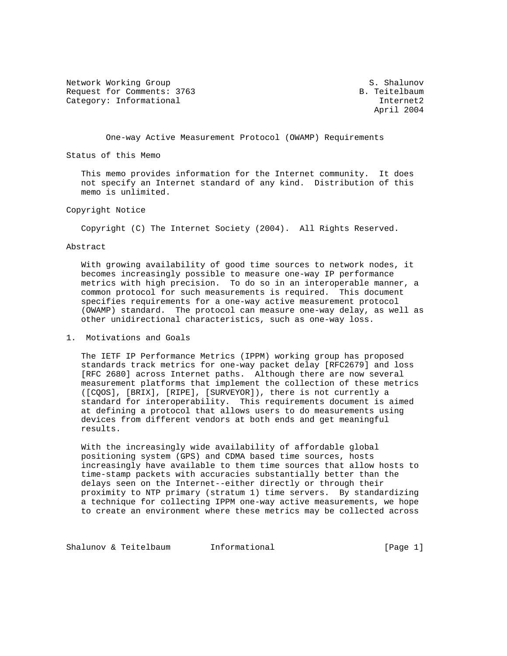Network Working Group S. Shalunov Request for Comments: 3763 B. Teitelbaum Category: Informational internet2

April 2004

One-way Active Measurement Protocol (OWAMP) Requirements

Status of this Memo

 This memo provides information for the Internet community. It does not specify an Internet standard of any kind. Distribution of this memo is unlimited.

## Copyright Notice

Copyright (C) The Internet Society (2004). All Rights Reserved.

## Abstract

 With growing availability of good time sources to network nodes, it becomes increasingly possible to measure one-way IP performance metrics with high precision. To do so in an interoperable manner, a common protocol for such measurements is required. This document specifies requirements for a one-way active measurement protocol (OWAMP) standard. The protocol can measure one-way delay, as well as other unidirectional characteristics, such as one-way loss.

1. Motivations and Goals

 The IETF IP Performance Metrics (IPPM) working group has proposed standards track metrics for one-way packet delay [RFC2679] and loss [RFC 2680] across Internet paths. Although there are now several measurement platforms that implement the collection of these metrics ([CQOS], [BRIX], [RIPE], [SURVEYOR]), there is not currently a standard for interoperability. This requirements document is aimed at defining a protocol that allows users to do measurements using devices from different vendors at both ends and get meaningful results.

 With the increasingly wide availability of affordable global positioning system (GPS) and CDMA based time sources, hosts increasingly have available to them time sources that allow hosts to time-stamp packets with accuracies substantially better than the delays seen on the Internet--either directly or through their proximity to NTP primary (stratum 1) time servers. By standardizing a technique for collecting IPPM one-way active measurements, we hope to create an environment where these metrics may be collected across

Shalunov & Teitelbaum Informational [Page 1]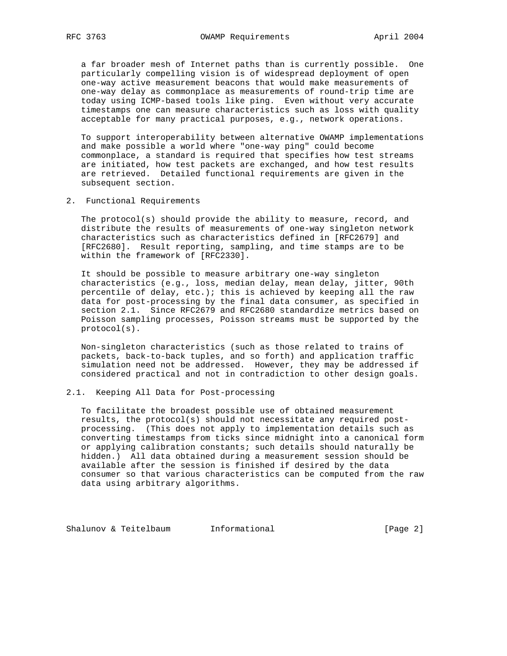a far broader mesh of Internet paths than is currently possible. One particularly compelling vision is of widespread deployment of open one-way active measurement beacons that would make measurements of one-way delay as commonplace as measurements of round-trip time are today using ICMP-based tools like ping. Even without very accurate timestamps one can measure characteristics such as loss with quality acceptable for many practical purposes, e.g., network operations.

 To support interoperability between alternative OWAMP implementations and make possible a world where "one-way ping" could become commonplace, a standard is required that specifies how test streams are initiated, how test packets are exchanged, and how test results are retrieved. Detailed functional requirements are given in the subsequent section.

2. Functional Requirements

 The protocol(s) should provide the ability to measure, record, and distribute the results of measurements of one-way singleton network characteristics such as characteristics defined in [RFC2679] and [RFC2680]. Result reporting, sampling, and time stamps are to be within the framework of [RFC2330].

 It should be possible to measure arbitrary one-way singleton characteristics (e.g., loss, median delay, mean delay, jitter, 90th percentile of delay, etc.); this is achieved by keeping all the raw data for post-processing by the final data consumer, as specified in section 2.1. Since RFC2679 and RFC2680 standardize metrics based on Poisson sampling processes, Poisson streams must be supported by the protocol(s).

 Non-singleton characteristics (such as those related to trains of packets, back-to-back tuples, and so forth) and application traffic simulation need not be addressed. However, they may be addressed if considered practical and not in contradiction to other design goals.

# 2.1. Keeping All Data for Post-processing

 To facilitate the broadest possible use of obtained measurement results, the protocol(s) should not necessitate any required post processing. (This does not apply to implementation details such as converting timestamps from ticks since midnight into a canonical form or applying calibration constants; such details should naturally be hidden.) All data obtained during a measurement session should be available after the session is finished if desired by the data consumer so that various characteristics can be computed from the raw data using arbitrary algorithms.

Shalunov & Teitelbaum Informational (Page 2)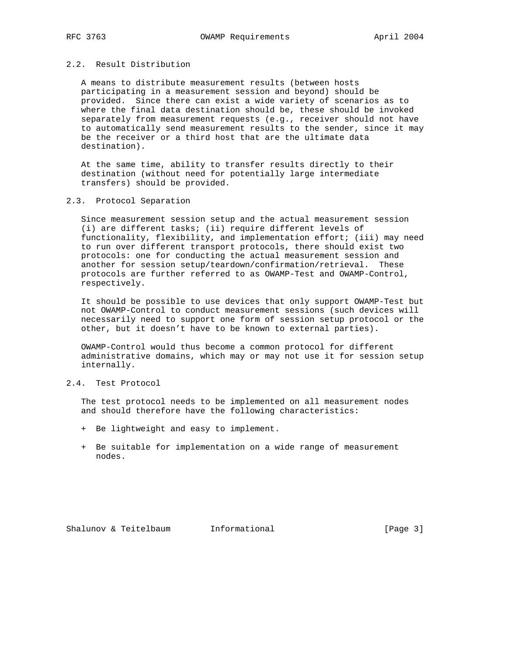# 2.2. Result Distribution

 A means to distribute measurement results (between hosts participating in a measurement session and beyond) should be provided. Since there can exist a wide variety of scenarios as to where the final data destination should be, these should be invoked separately from measurement requests (e.g., receiver should not have to automatically send measurement results to the sender, since it may be the receiver or a third host that are the ultimate data destination).

 At the same time, ability to transfer results directly to their destination (without need for potentially large intermediate transfers) should be provided.

## 2.3. Protocol Separation

 Since measurement session setup and the actual measurement session (i) are different tasks; (ii) require different levels of functionality, flexibility, and implementation effort; (iii) may need to run over different transport protocols, there should exist two protocols: one for conducting the actual measurement session and another for session setup/teardown/confirmation/retrieval. These protocols are further referred to as OWAMP-Test and OWAMP-Control, respectively.

 It should be possible to use devices that only support OWAMP-Test but not OWAMP-Control to conduct measurement sessions (such devices will necessarily need to support one form of session setup protocol or the other, but it doesn't have to be known to external parties).

 OWAMP-Control would thus become a common protocol for different administrative domains, which may or may not use it for session setup internally.

# 2.4. Test Protocol

 The test protocol needs to be implemented on all measurement nodes and should therefore have the following characteristics:

- + Be lightweight and easy to implement.
- + Be suitable for implementation on a wide range of measurement nodes.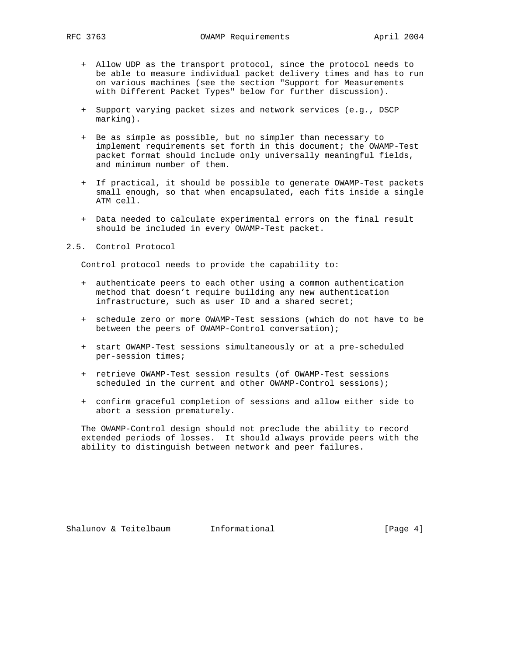- + Allow UDP as the transport protocol, since the protocol needs to be able to measure individual packet delivery times and has to run on various machines (see the section "Support for Measurements with Different Packet Types" below for further discussion).
- + Support varying packet sizes and network services (e.g., DSCP marking).
- + Be as simple as possible, but no simpler than necessary to implement requirements set forth in this document; the OWAMP-Test packet format should include only universally meaningful fields, and minimum number of them.
- + If practical, it should be possible to generate OWAMP-Test packets small enough, so that when encapsulated, each fits inside a single ATM cell.
- + Data needed to calculate experimental errors on the final result should be included in every OWAMP-Test packet.

### 2.5. Control Protocol

Control protocol needs to provide the capability to:

- + authenticate peers to each other using a common authentication method that doesn't require building any new authentication infrastructure, such as user ID and a shared secret;
- + schedule zero or more OWAMP-Test sessions (which do not have to be between the peers of OWAMP-Control conversation);
- + start OWAMP-Test sessions simultaneously or at a pre-scheduled per-session times;
- + retrieve OWAMP-Test session results (of OWAMP-Test sessions scheduled in the current and other OWAMP-Control sessions);
- + confirm graceful completion of sessions and allow either side to abort a session prematurely.

 The OWAMP-Control design should not preclude the ability to record extended periods of losses. It should always provide peers with the ability to distinguish between network and peer failures.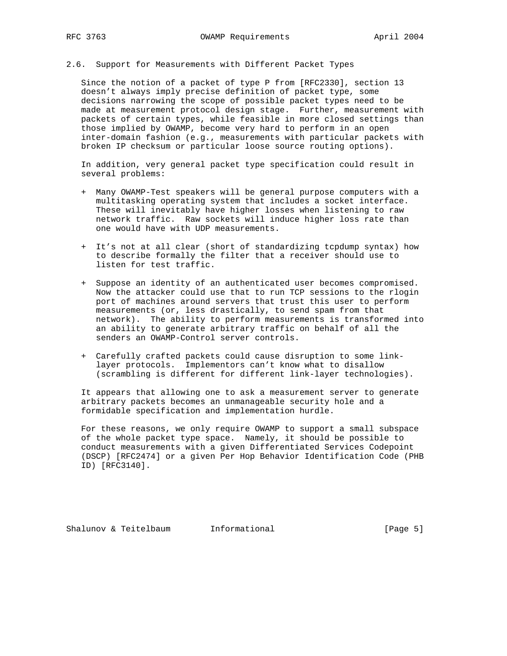2.6. Support for Measurements with Different Packet Types

 Since the notion of a packet of type P from [RFC2330], section 13 doesn't always imply precise definition of packet type, some decisions narrowing the scope of possible packet types need to be made at measurement protocol design stage. Further, measurement with packets of certain types, while feasible in more closed settings than those implied by OWAMP, become very hard to perform in an open inter-domain fashion (e.g., measurements with particular packets with broken IP checksum or particular loose source routing options).

 In addition, very general packet type specification could result in several problems:

- + Many OWAMP-Test speakers will be general purpose computers with a multitasking operating system that includes a socket interface. These will inevitably have higher losses when listening to raw network traffic. Raw sockets will induce higher loss rate than one would have with UDP measurements.
- + It's not at all clear (short of standardizing tcpdump syntax) how to describe formally the filter that a receiver should use to listen for test traffic.
- + Suppose an identity of an authenticated user becomes compromised. Now the attacker could use that to run TCP sessions to the rlogin port of machines around servers that trust this user to perform measurements (or, less drastically, to send spam from that network). The ability to perform measurements is transformed into an ability to generate arbitrary traffic on behalf of all the senders an OWAMP-Control server controls.
- + Carefully crafted packets could cause disruption to some link layer protocols. Implementors can't know what to disallow (scrambling is different for different link-layer technologies).

 It appears that allowing one to ask a measurement server to generate arbitrary packets becomes an unmanageable security hole and a formidable specification and implementation hurdle.

 For these reasons, we only require OWAMP to support a small subspace of the whole packet type space. Namely, it should be possible to conduct measurements with a given Differentiated Services Codepoint (DSCP) [RFC2474] or a given Per Hop Behavior Identification Code (PHB ID) [RFC3140].

Shalunov & Teitelbaum Informational (Page 5)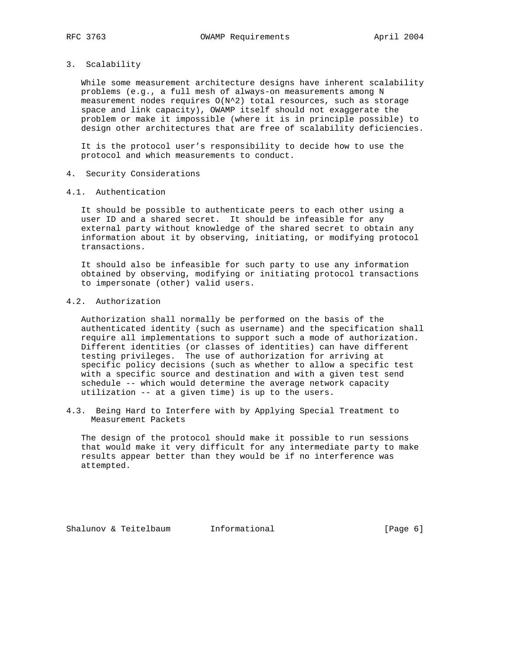# 3. Scalability

 While some measurement architecture designs have inherent scalability problems (e.g., a full mesh of always-on measurements among N measurement nodes requires O(N^2) total resources, such as storage space and link capacity), OWAMP itself should not exaggerate the problem or make it impossible (where it is in principle possible) to design other architectures that are free of scalability deficiencies.

 It is the protocol user's responsibility to decide how to use the protocol and which measurements to conduct.

- 4. Security Considerations
- 4.1. Authentication

 It should be possible to authenticate peers to each other using a user ID and a shared secret. It should be infeasible for any external party without knowledge of the shared secret to obtain any information about it by observing, initiating, or modifying protocol transactions.

 It should also be infeasible for such party to use any information obtained by observing, modifying or initiating protocol transactions to impersonate (other) valid users.

# 4.2. Authorization

 Authorization shall normally be performed on the basis of the authenticated identity (such as username) and the specification shall require all implementations to support such a mode of authorization. Different identities (or classes of identities) can have different testing privileges. The use of authorization for arriving at specific policy decisions (such as whether to allow a specific test with a specific source and destination and with a given test send schedule -- which would determine the average network capacity utilization -- at a given time) is up to the users.

4.3. Being Hard to Interfere with by Applying Special Treatment to Measurement Packets

 The design of the protocol should make it possible to run sessions that would make it very difficult for any intermediate party to make results appear better than they would be if no interference was attempted.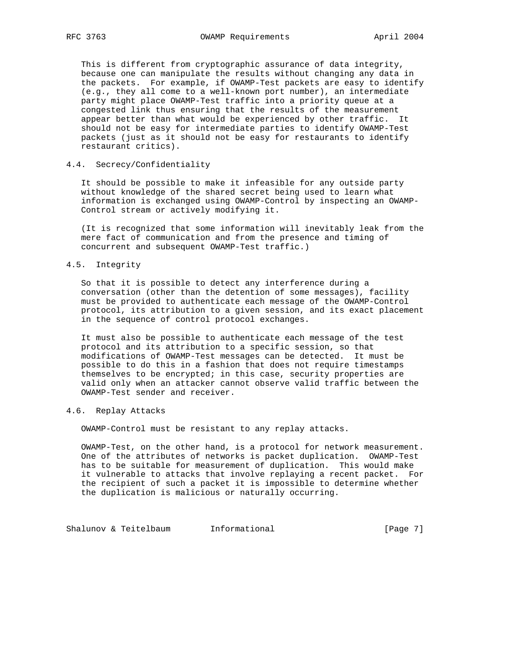This is different from cryptographic assurance of data integrity, because one can manipulate the results without changing any data in the packets. For example, if OWAMP-Test packets are easy to identify (e.g., they all come to a well-known port number), an intermediate party might place OWAMP-Test traffic into a priority queue at a congested link thus ensuring that the results of the measurement appear better than what would be experienced by other traffic. It should not be easy for intermediate parties to identify OWAMP-Test packets (just as it should not be easy for restaurants to identify restaurant critics).

## 4.4. Secrecy/Confidentiality

 It should be possible to make it infeasible for any outside party without knowledge of the shared secret being used to learn what information is exchanged using OWAMP-Control by inspecting an OWAMP- Control stream or actively modifying it.

 (It is recognized that some information will inevitably leak from the mere fact of communication and from the presence and timing of concurrent and subsequent OWAMP-Test traffic.)

## 4.5. Integrity

 So that it is possible to detect any interference during a conversation (other than the detention of some messages), facility must be provided to authenticate each message of the OWAMP-Control protocol, its attribution to a given session, and its exact placement in the sequence of control protocol exchanges.

 It must also be possible to authenticate each message of the test protocol and its attribution to a specific session, so that modifications of OWAMP-Test messages can be detected. It must be possible to do this in a fashion that does not require timestamps themselves to be encrypted; in this case, security properties are valid only when an attacker cannot observe valid traffic between the OWAMP-Test sender and receiver.

## 4.6. Replay Attacks

OWAMP-Control must be resistant to any replay attacks.

 OWAMP-Test, on the other hand, is a protocol for network measurement. One of the attributes of networks is packet duplication. OWAMP-Test has to be suitable for measurement of duplication. This would make it vulnerable to attacks that involve replaying a recent packet. For the recipient of such a packet it is impossible to determine whether the duplication is malicious or naturally occurring.

Shalunov & Teitelbaum Informational (Page 7)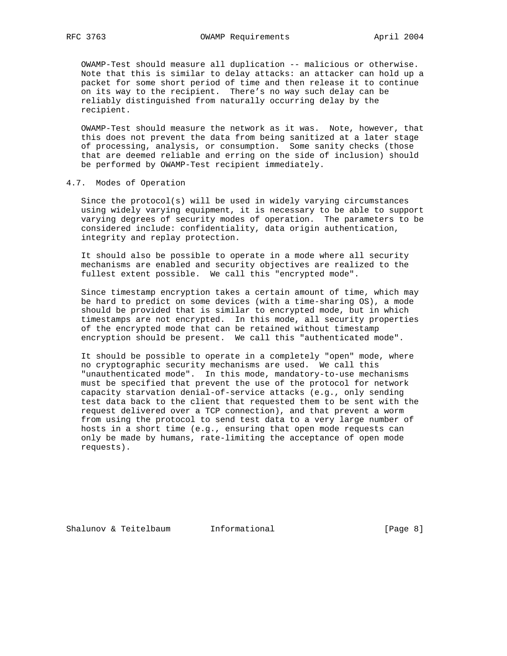OWAMP-Test should measure all duplication -- malicious or otherwise. Note that this is similar to delay attacks: an attacker can hold up a packet for some short period of time and then release it to continue on its way to the recipient. There's no way such delay can be reliably distinguished from naturally occurring delay by the recipient.

 OWAMP-Test should measure the network as it was. Note, however, that this does not prevent the data from being sanitized at a later stage of processing, analysis, or consumption. Some sanity checks (those that are deemed reliable and erring on the side of inclusion) should be performed by OWAMP-Test recipient immediately.

## 4.7. Modes of Operation

 Since the protocol(s) will be used in widely varying circumstances using widely varying equipment, it is necessary to be able to support varying degrees of security modes of operation. The parameters to be considered include: confidentiality, data origin authentication, integrity and replay protection.

 It should also be possible to operate in a mode where all security mechanisms are enabled and security objectives are realized to the fullest extent possible. We call this "encrypted mode".

 Since timestamp encryption takes a certain amount of time, which may be hard to predict on some devices (with a time-sharing OS), a mode should be provided that is similar to encrypted mode, but in which timestamps are not encrypted. In this mode, all security properties of the encrypted mode that can be retained without timestamp encryption should be present. We call this "authenticated mode".

 It should be possible to operate in a completely "open" mode, where no cryptographic security mechanisms are used. We call this "unauthenticated mode". In this mode, mandatory-to-use mechanisms must be specified that prevent the use of the protocol for network capacity starvation denial-of-service attacks (e.g., only sending test data back to the client that requested them to be sent with the request delivered over a TCP connection), and that prevent a worm from using the protocol to send test data to a very large number of hosts in a short time (e.g., ensuring that open mode requests can only be made by humans, rate-limiting the acceptance of open mode requests).

Shalunov & Teitelbaum Informational (Page 8)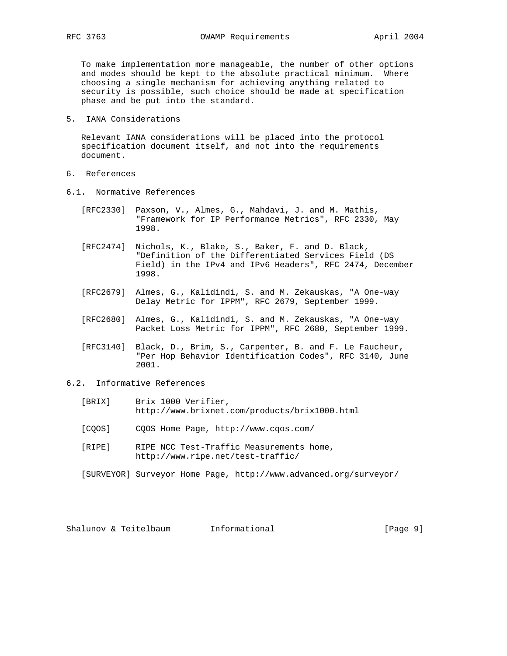To make implementation more manageable, the number of other options and modes should be kept to the absolute practical minimum. Where choosing a single mechanism for achieving anything related to security is possible, such choice should be made at specification phase and be put into the standard.

5. IANA Considerations

 Relevant IANA considerations will be placed into the protocol specification document itself, and not into the requirements document.

- 6. References
- 6.1. Normative References
	- [RFC2330] Paxson, V., Almes, G., Mahdavi, J. and M. Mathis, "Framework for IP Performance Metrics", RFC 2330, May 1998.
	- [RFC2474] Nichols, K., Blake, S., Baker, F. and D. Black, "Definition of the Differentiated Services Field (DS Field) in the IPv4 and IPv6 Headers", RFC 2474, December 1998.
	- [RFC2679] Almes, G., Kalidindi, S. and M. Zekauskas, "A One-way Delay Metric for IPPM", RFC 2679, September 1999.
	- [RFC2680] Almes, G., Kalidindi, S. and M. Zekauskas, "A One-way Packet Loss Metric for IPPM", RFC 2680, September 1999.
	- [RFC3140] Black, D., Brim, S., Carpenter, B. and F. Le Faucheur, "Per Hop Behavior Identification Codes", RFC 3140, June 2001.

# 6.2. Informative References

- [BRIX] Brix 1000 Verifier, http://www.brixnet.com/products/brix1000.html
- [CQOS] CQOS Home Page, http://www.cqos.com/
- [RIPE] RIPE NCC Test-Traffic Measurements home, http://www.ripe.net/test-traffic/

[SURVEYOR] Surveyor Home Page, http://www.advanced.org/surveyor/

Shalunov & Teitelbaum Informational (Page 9)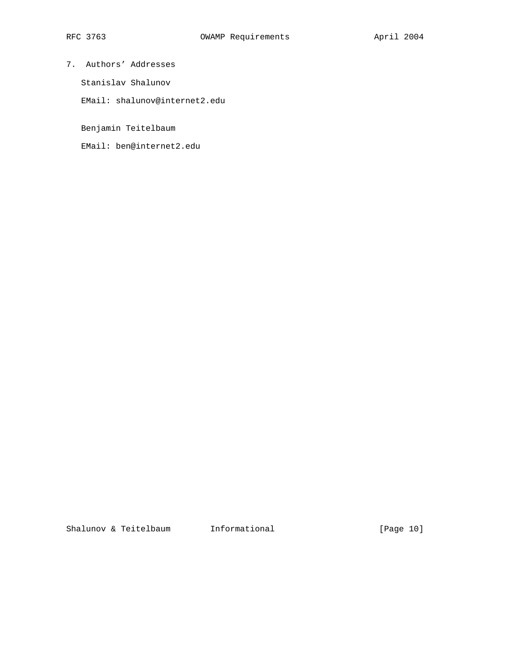- 7. Authors' Addresses
	- Stanislav Shalunov
	- EMail: shalunov@internet2.edu

Benjamin Teitelbaum

EMail: ben@internet2.edu